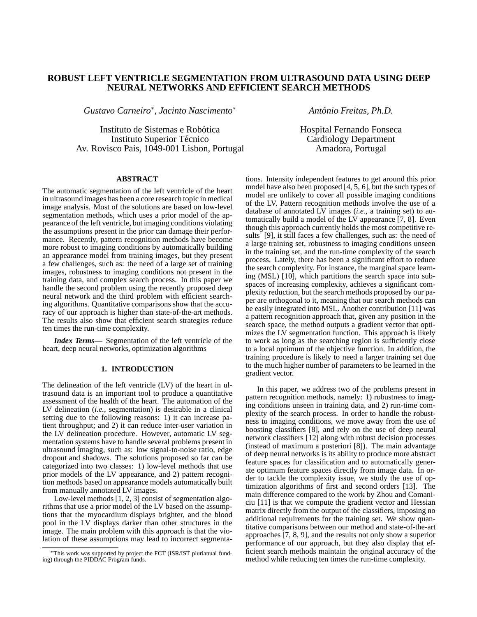# **ROBUST LEFT VENTRICLE SEGMENTATION FROM ULTRASOUND DATA USING DEEP NEURAL NETWORKS AND EFFICIENT SEARCH METHODS**

*Gustavo Carneiro*<sup>∗</sup> *, Jacinto Nascimento*<sup>∗</sup>

*Antonio Freitas, Ph.D. ´*

Instituto de Sistemas e Robótica Instituto Superior Técnico Av. Rovisco Pais, 1049-001 Lisbon, Portugal Hospital Fernando Fonseca Cardiology Department Amadora, Portugal

# **ABSTRACT**

The automatic segmentation of the left ventricle of the heart in ultrasound images has been a core research topic in medical image analysis. Most of the solutions are based on low-level segmentation methods, which uses a prior model of the appearance of the left ventricle, but imaging conditions violating the assumptions present in the prior can damage their performance. Recently, pattern recognition methods have become more robust to imaging conditions by automatically building an appearance model from training images, but they present a few challenges, such as: the need of a large set of training images, robustness to imaging conditions not present in the training data, and complex search process. In this paper we handle the second problem using the recently proposed deep neural network and the third problem with efficient searching algorithms. Quantitative comparisons show that the accuracy of our approach is higher than state-of-the-art methods. The results also show that efficient search strategies reduce ten times the run-time complexity.

*Index Terms***—** Segmentation of the left ventricle of the heart, deep neural networks, optimization algorithms

# **1. INTRODUCTION**

The delineation of the left ventricle (LV) of the heart in ultrasound data is an important tool to produce a quantitative assessment of the health of the heart. The automation of the LV delineation (*i.e.*, segmentation) is desirable in a clinical setting due to the following reasons: 1) it can increase patient throughput; and 2) it can reduce inter-user variation in the LV delineation procedure. However, automatic LV segmentation systems have to handle several problems present in ultrasound imaging, such as: low signal-to-noise ratio, edge dropout and shadows. The solutions proposed so far can be categorized into two classes: 1) low-level methods that use prior models of the LV appearance, and 2) pattern recognition methods based on appearance models automatically built from manually annotated LV images.

Low-level methods [1, 2, 3] consist of segmentation algorithms that use a prior model of the LV based on the assumptions that the myocardium displays brighter, and the blood pool in the LV displays darker than other structures in the image. The main problem with this approach is that the violation of these assumptions may lead to incorrect segmentations. Intensity independent features to get around this prior model have also been proposed [4, 5, 6], but the such types of model are unlikely to cover all possible imaging conditions of the LV. Pattern recognition methods involve the use of a database of annotated LV images (*i.e.*, a training set) to automatically build a model of the LV appearance [7, 8]. Even though this approach currently holds the most competitive results [9], it still faces a few challenges, such as: the need of a large training set, robustness to imaging conditions unseen in the training set, and the run-time complexity of the search process. Lately, there has been a significant effort to reduce the search complexity. For instance, the marginal space learning (MSL) [10], which partitions the search space into subspaces of increasing complexity, achieves a significant complexity reduction, but the search methods proposed by our paper are orthogonal to it, meaning that our search methods can be easily integrated into MSL. Another contribution [11] was a pattern recognition approach that, given any position in the search space, the method outputs a gradient vector that optimizes the LV segmentation function. This approach is likely to work as long as the searching region is sufficiently close to a local optimum of the objective function. In addition, the training procedure is likely to need a larger training set due to the much higher number of parameters to be learned in the gradient vector.

In this paper, we address two of the problems present in pattern recognition methods, namely: 1) robustness to imaging conditions unseen in training data, and 2) run-time complexity of the search process. In order to handle the robustness to imaging conditions, we move away from the use of boosting classifiers [8], and rely on the use of deep neural network classifiers [12] along with robust decision processes (instead of maximum a posteriori [8]). The main advantage of deep neural networks is its ability to produce more abstract feature spaces for classification and to automatically generate optimum feature spaces directly from image data. In order to tackle the complexity issue, we study the use of optimization algorithms of first and second orders [13]. The main difference compared to the work by Zhou and Comaniciu [11] is that we compute the gradient vector and Hessian matrix directly from the output of the classifiers, imposing no additional requirements for the training set. We show quantitative comparisons between our method and state-of-the-art approaches [7, 8, 9], and the results not only show a superior performance of our approach, but they also display that efficient search methods maintain the original accuracy of the method while reducing ten times the run-time complexity.

<sup>∗</sup>This work was supported by project the FCT (ISR/IST plurianual funding) through the PIDDAC Program funds.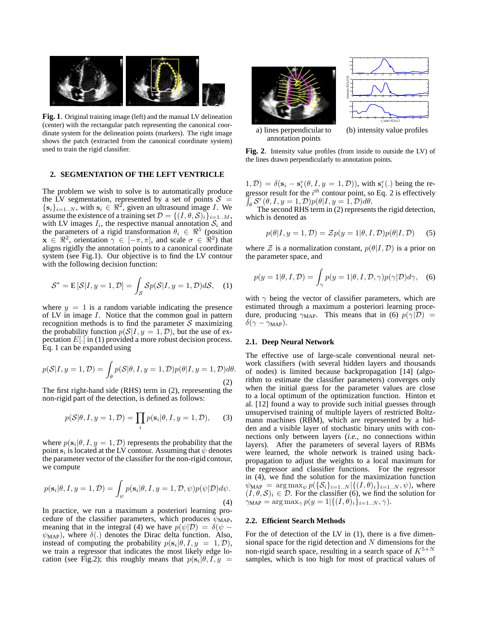

**Fig. 1**. Original training image (left) and the manual LV delineation (center) with the rectangular patch representing the canonical coordinate system for the delineation points (markers). The right image shows the patch (extracted from the canonical coordinate system) used to train the rigid classifier.

### **2. SEGMENTATION OF THE LEFT VENTRICLE**

The problem we wish to solve is to automatically produce the LV segmentation, represented by a set of points  $S =$  $\{s_i\}_{i=1..N}$ , with  $s_i \in \mathbb{R}^2$ , given an ultrasound image *I*. We assume the existence of a training set  $\mathcal{D} = \{(I, \theta, \mathcal{S})_i\}_{i=1...M}$ , with LV images  $I_i$ , the respective manual annotation  $S_i$  and the parameters of a rigid transformation  $\theta_i \in \mathbb{R}^5$  (position  $\mathbf{x} \in \mathbb{R}^2$ , orientation  $\gamma \in [-\pi, \pi]$ , and scale  $\sigma \in \mathbb{R}^2$ ) that aligns rigidly the annotation points to a canonical coordinate system (see Fig.1). Our objective is to find the LV contour with the following decision function:

$$
S^* = E[\mathcal{S}|I, y = 1, \mathcal{D}] = \int_{\mathcal{S}} \mathcal{S}p(\mathcal{S}|I, y = 1, \mathcal{D})d\mathcal{S}, \quad (1)
$$

where  $y = 1$  is a random variable indicating the presence of LV in image I. Notice that the common goal in pattern recognition methods is to find the parameter  $S$  maximizing the probability function  $p(S|I, y = 1, \mathcal{D})$ , but the use of expectation  $E[.]$  in (1) provided a more robust decision process. Eq. 1 can be expanded using

$$
p(S|I, y=1, \mathcal{D}) = \int_{\theta} p(S|\theta, I, y=1, \mathcal{D}) p(\theta|I, y=1, \mathcal{D}) d\theta.
$$
\n(2)

The first right-hand side (RHS) term in (2), representing the non-rigid part of the detection, is defined as follows:

$$
p(S|\theta, I, y=1, \mathcal{D}) = \prod_{i} p(\mathbf{s}_i|\theta, I, y=1, \mathcal{D}), \qquad (3)
$$

where  $p(\mathbf{s}_i|\theta, I, y = 1, \mathcal{D})$  represents the probability that the point  $\mathbf{s}_i$  is located at the LV contour. Assuming that  $\psi$  denotes the parameter vector of the classifier for the non-rigid contour, we compute

$$
p(\mathbf{s}_i|\theta, I, y = 1, \mathcal{D}) = \int_{\psi} p(\mathbf{s}_i|\theta, I, y = 1, \mathcal{D}, \psi) p(\psi|\mathcal{D}) d\psi.
$$
\n(4)

In practice, we run a maximum a posteriori learning procedure of the classifier parameters, which produces  $\psi_{MAP}$ , meaning that in the integral (4) we have  $p(\psi|\mathcal{D}) = \delta(\psi - \mathcal{D})$  $\psi_{MAP}$ ), where  $\delta(.)$  denotes the Dirac delta function. Also, instead of computing the probability  $p(s_i | \theta, I, y = 1, \mathcal{D})$ , we train a regressor that indicates the most likely edge location (see Fig.2); this roughly means that  $p(s_i | \theta, I, y =$ 





annotation points

**Fig. 2**. Intensity value profiles (from inside to outside the LV) of the lines drawn perpendicularly to annotation points.

 $(1, \mathcal{D}) = \delta(\mathbf{s}_i - \mathbf{s}_i^r(\theta, I, y = 1, \mathcal{D}))$ , with  $\mathbf{s}_i^r(.)$  being the regressor result for the  $i^{th}$  contour point, so Eq. 2 is effectively  $\int_{\theta} S^{r}(\theta, I, y = 1, \mathcal{D}) p(\theta | I, y = 1, \mathcal{D}) d\theta.$ 

The second RHS term in (2) represents the rigid detection, which is denoted as

$$
p(\theta | I, y = 1, \mathcal{D}) = \mathcal{Z}p(y = 1 | \theta, I, \mathcal{D})p(\theta | I, \mathcal{D})
$$
 (5)

where  $\mathcal Z$  is a normalization constant,  $p(\theta | I, \mathcal D)$  is a prior on the parameter space, and

$$
p(y=1|\theta, I, \mathcal{D}) = \int_{\gamma} p(y=1|\theta, I, \mathcal{D}, \gamma) p(\gamma|\mathcal{D}) d\gamma, \quad (6)
$$

with  $\gamma$  being the vector of classifier parameters, which are estimated through a maximum a posteriori learning procedure, producing  $\gamma_{MAP}$ . This means that in (6)  $p(\gamma|\mathcal{D})$  =  $\delta(\gamma - \gamma_{MAP}).$ 

### **2.1. Deep Neural Network**

The effective use of large-scale conventional neural network classifiers (with several hidden layers and thousands of nodes) is limited because backpropagation [14] (algorithm to estimate the classifier parameters) converges only when the initial guess for the parameter values are close to a local optimum of the optimization function. Hinton et al. [12] found a way to provide such initial guesses through unsupervised training of multiple layers of restricted Boltzmann machines (RBM), which are represented by a hidden and a visible layer of stochastic binary units with connections only between layers (*i.e.*, no connections within layers). After the parameters of several layers of RBMs were learned, the whole network is trained using backpropagation to adjust the weights to a local maximum for the regressor and classifier functions. For the regressor in (4), we find the solution for the maximization function  $\psi_{\text{MAP}} = \arg \max_{\psi} p(\{\mathcal{S}_i\}_{i=1..N} | \{(I, \theta)_i\}_{i=1..N}, \psi)$ , where  $(I, \theta, S)_i \in \mathcal{D}$ . For the classifier (6), we find the solution for  $\gamma_{\text{MAP}} = \arg \max_{\gamma} p(y=1 | \{(I, \theta)_i\}_{i=1..N}, \gamma).$ 

#### **2.2. Efficient Search Methods**

For the of detection of the LV in (1), there is a five dimensional space for the rigid detection and  $N$  dimensions for the non-rigid search space, resulting in a search space of  $K^{5+N}$ samples, which is too high for most of practical values of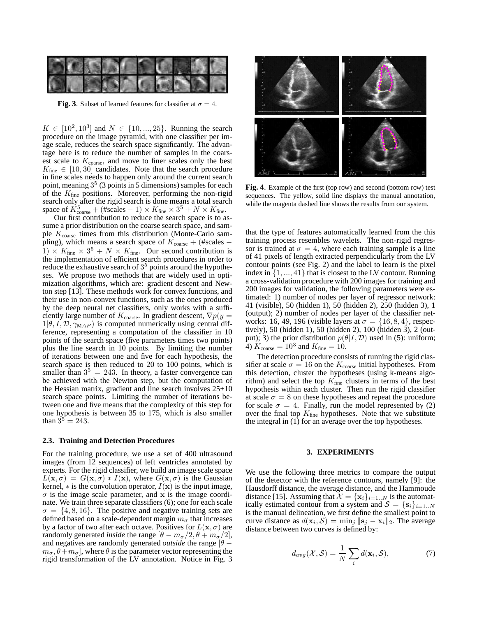

**Fig. 3**. Subset of learned features for classifier at  $\sigma = 4$ .

 $K \in [10^2, 10^3]$  and  $N \in \{10, ..., 25\}$ . Running the search procedure on the image pyramid, with one classifier per image scale, reduces the search space significantly. The advantage here is to reduce the number of samples in the coarsest scale to  $K_{\text{coarse}}$ , and move to finer scales only the best  $K_{\text{fine}} \in [10, 30]$  candidates. Note that the search procedure in fine scales needs to happen only around the current search point, meaning  $3^5$  (3 points in 5 dimensions) samples for each of the  $K<sub>fine</sub>$  positions. Moreover, performing the non-rigid search only after the rigid search is done means a total search space of  $\check{K}^5_{\text{coarse}} + (\text{\#scales} - 1) \times K_{\text{fine}} \times 3^5 + N \times K_{\text{fine}}.$ 

Our first contribution to reduce the search space is to assume a prior distribution on the coarse search space, and sample  $K_{\text{coarse}}$  times from this distribution (Monte-Carlo sampling), which means a search space of  $K_{\text{coarse}}$  + (#scales –  $1) \times K_{\text{fine}} \times 3^5 + N \times K_{\text{fine}}$ . Our second contribution is the implementation of efficient search procedures in order to reduce the exhaustive search of  $3<sup>5</sup>$  points around the hypotheses. We propose two methods that are widely used in optimization algorithms, which are: gradient descent and Newton step [13]. These methods work for convex functions, and their use in non-convex functions, such as the ones produced by the deep neural net classifiers, only works with a sufficiently large number of  $K_{\text{coarse}}$ . In gradient descent,  $\nabla p(y)$  $1|\theta, I, \mathcal{D}, \gamma_{MAP}$  is computed numerically using central difference, representing a computation of the classifier in 10 points of the search space (five parameters times two points) plus the line search in 10 points. By limiting the number of iterations between one and five for each hypothesis, the search space is then reduced to 20 to 100 points, which is smaller than  $3^5 = 243$ . In theory, a faster convergence can be achieved with the Newton step, but the computation of the Hessian matrix, gradient and line search involves 25+10 search space points. Limiting the number of iterations between one and five means that the complexity of this step for one hypothesis is between 35 to 175, which is also smaller than  $3^5 = 243$ .

### **2.3. Training and Detection Procedures**

For the training procedure, we use a set of 400 ultrasound images (from 12 sequences) of left ventricles annotated by experts. For the rigid classifier, we build an image scale space  $L(\mathbf{x}, \sigma) = G(\mathbf{x}, \sigma) * I(\mathbf{x})$ , where  $G(\mathbf{x}, \sigma)$  is the Gaussian kernel,  $*$  is the convolution operator,  $I(\mathbf{x})$  is the input image,  $\sigma$  is the image scale parameter, and x is the image coordinate. We train three separate classifiers (6); one for each scale  $\sigma = \{4, 8, 16\}$ . The positive and negative training sets are defined based on a scale-dependent margin  $m_{\sigma}$  that increases by a factor of two after each octave. Positives for  $L(\mathbf{x}, \sigma)$  are randomly generated *inside* the range  $[\theta - m_{\sigma}/2, \theta + m_{\sigma}/2]$ , and negatives are randomly generated *outside* the range  $[\theta -]$  $m_{\sigma}$ ,  $\theta \dot{+} m_{\sigma}$ , where  $\theta$  is the parameter vector representing the rigid transformation of the LV annotation. Notice in Fig. 3



**Fig. 4**. Example of the first (top row) and second (bottom row) test sequences. The yellow, solid line displays the manual annotation, while the magenta dashed line shows the results from our system.

that the type of features automatically learned from the this training process resembles wavelets. The non-rigid regressor is trained at  $\sigma = 4$ , where each training sample is a line of 41 pixels of length extracted perpendicularly from the LV contour points (see Fig. 2) and the label to learn is the pixel index in  $\{1, ..., 41\}$  that is closest to the LV contour. Running a cross-validation procedure with 200 images for training and 200 images for validation, the following parameters were estimated: 1) number of nodes per layer of regressor network: 41 (visible), 50 (hidden 1), 50 (hidden 2), 250 (hidden 3), 1 (output); 2) number of nodes per layer of the classifier networks: 16, 49, 196 (visible layers at  $\sigma = \{16, 8, 4\}$ , respectively), 50 (hidden 1), 50 (hidden 2), 100 (hidden 3), 2 (output); 3) the prior distribution  $p(\theta | I, \mathcal{D})$  used in (5): uniform; 4)  $K_{\text{coarse}} = 10^3$  and  $K_{\text{fine}} = 10$ .

The detection procedure consists of running the rigid classifier at scale  $\sigma = 16$  on the  $K_{\text{coarse}}$  initial hypotheses. From this detection, cluster the hypotheses (using k-means algorithm) and select the top  $K_{\text{fine}}$  clusters in terms of the best hypothesis within each cluster. Then run the rigid classifier at scale  $\sigma = 8$  on these hypotheses and repeat the procedure for scale  $\sigma = 4$ . Finally, run the model represented by (2) over the final top  $K_{\text{fine}}$  hypotheses. Note that we substitute the integral in (1) for an average over the top hypotheses.

#### **3. EXPERIMENTS**

We use the following three metrics to compare the output of the detector with the reference contours, namely [9]: the Hausdorff distance, the average distance, and the Hammoude distance [15]. Assuming that  $\mathcal{X} = {\mathbf{x}_i}_{i=1..N}$  is the automatically estimated contour from a system and  $S = \{s_i\}_{i=1..N}$ is the manual delineation, we first define the smallest point to curve distance as  $d(\mathbf{x}_i, \mathcal{S}) = \min_j ||\mathbf{s}_j - \mathbf{x}_i||_2$ . The average distance between two curves is defined by:

$$
d_{avg}(\mathcal{X}, \mathcal{S}) = \frac{1}{N} \sum_{i} d(\mathbf{x}_i, \mathcal{S}), \tag{7}
$$